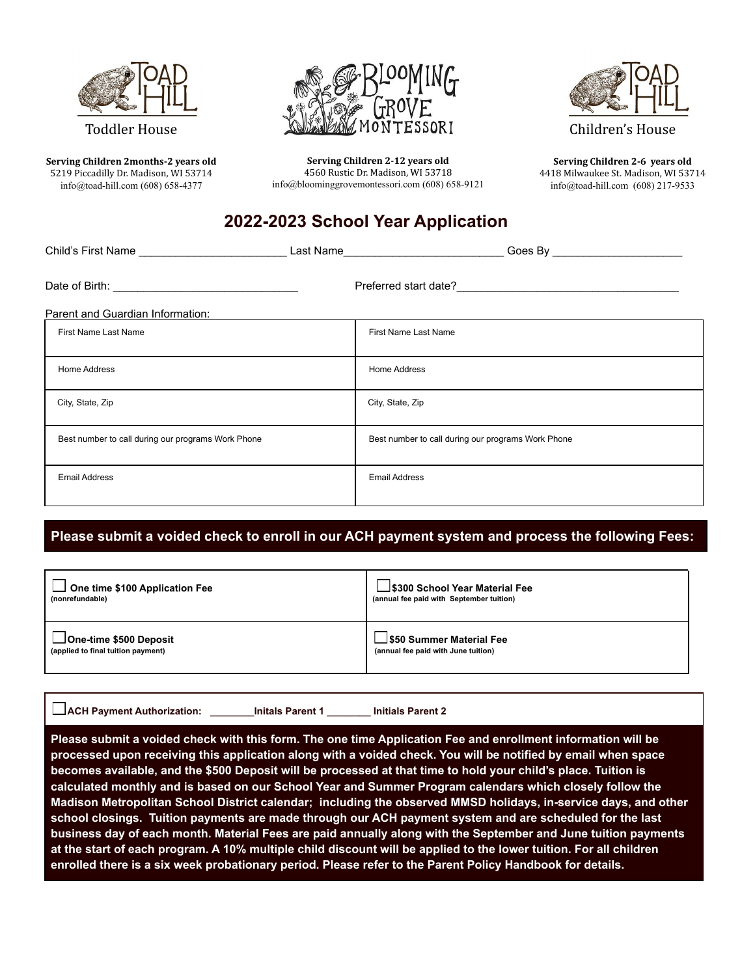

### Toddler House

**Serving Children 2months-2 years old** 5219 Piccadilly Dr. Madison, WI 53714 [info@toad-hill.com](mailto:info@toad-hill.com) (608) 658-4377



**Serving Children 2-12 years old** 4560 Rustic Dr. Madison, WI 53718 info@bloominggrovemontessori.com (608) 658-9121



Children's House

**Serving Children 2-6 years old** 4418 Milwaukee St. Madison, WI 53714 [info@toad-hill.com](mailto:info@toad-hill.com) (608) 217-9533

# **2022-2023 School Year Application**

| Parent and Guardian Information:                   |  |                                                    |  |  |  |
|----------------------------------------------------|--|----------------------------------------------------|--|--|--|
| <b>First Name Last Name</b>                        |  | <b>First Name Last Name</b>                        |  |  |  |
| Home Address                                       |  | <b>Home Address</b>                                |  |  |  |
| City, State, Zip                                   |  | City, State, Zip                                   |  |  |  |
| Best number to call during our programs Work Phone |  | Best number to call during our programs Work Phone |  |  |  |
| <b>Email Address</b>                               |  | <b>Email Address</b>                               |  |  |  |

## **Please submit a voided check to enroll in our ACH payment system and process the following Fees:**

| One time \$100 Application Fee     | _ \$300 School Year Material Fee         |
|------------------------------------|------------------------------------------|
| (nonrefundable)                    | (annual fee paid with September tuition) |
| <b>_IOne-time \$500 Deposit</b>    | 」 \$50 Summer Material Fee               |
| (applied to final tuition payment) | (annual fee paid with June tuition)      |

| <b>LACH Payment Authorization:</b> | <b>Initals P</b> |
|------------------------------------|------------------|
|------------------------------------|------------------|

**A** Parent 1 **Parent 1 Initials Parent 2** 

Please submit a voided check with this form. The one time Application Fee and enrollment information will be processed upon receiving this application along with a voided check. You will be notified by email when space becomes available, and the \$500 Deposit will be processed at that time to hold your child's place. Tuition is **calculated monthly and is based on our School Year and Summer Program calendars which closely follow the Madison Metropolitan School District calendar; including the observed MMSD holidays, in-service days, and other school closings. Tuition payments are made through our ACH payment system and are scheduled for the last** business day of each month. Material Fees are paid annually along with the September and June tuition payments at the start of each program. A 10% multiple child discount will be applied to the lower tuition. For all children **enrolled there is a six week probationary period. Please refer to the Parent Policy Handbook for details.**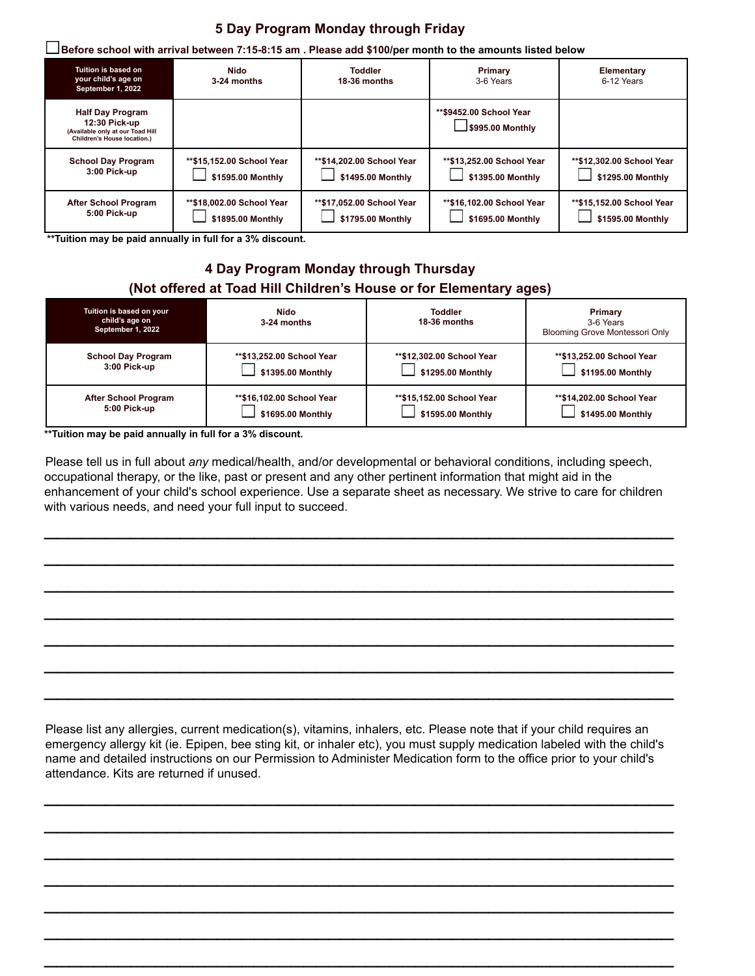### **5 Day Program Monday through Friday**

| Before school with arrival between 7:15-8:15 am . Please add \$100/per month to the amounts listed below أ  |                                                 |                                                |                                                |                                                |  |  |  |
|-------------------------------------------------------------------------------------------------------------|-------------------------------------------------|------------------------------------------------|------------------------------------------------|------------------------------------------------|--|--|--|
| Tuition is based on<br>your child's age on<br>September 1, 2022                                             | Nido<br>3-24 months                             | <b>Toddler</b><br>18-36 months                 | Primary<br>3-6 Years                           | Elementary<br>6-12 Years                       |  |  |  |
| <b>Half Day Program</b><br>12:30 Pick-up<br>(Available only at our Toad Hill<br>Children's House location.) |                                                 |                                                | **\$9452.00 School Year<br>J\$995.00 Monthly   |                                                |  |  |  |
| <b>School Day Program</b><br>3:00 Pick-up                                                                   | ** \$15,152.00 School Year<br>\$1595.00 Monthly | **\$14,202.00 School Year<br>\$1495.00 Monthly | **\$13,252.00 School Year<br>\$1395.00 Monthly | **\$12,302.00 School Year<br>\$1295.00 Monthly |  |  |  |
| <b>After School Program</b><br>5:00 Pick-up                                                                 | **\$18,002.00 School Year<br>\$1895.00 Monthly  | **\$17,052.00 School Year<br>\$1795.00 Monthly | **\$16,102.00 School Year<br>\$1695.00 Monthly | **\$15,152.00 School Year<br>\$1595.00 Monthly |  |  |  |

**\*\*Tuition may be paid annually in full for a 3% discount.**

### **4 Day Program Monday through Thursday (Not offered at Toad Hill Children's House or for Elementary ages)**

| Tuition is based on your<br>child's age on<br>September 1, 2022 | Nido<br>3-24 months       | <b>Toddler</b><br>18-36 months | Primary<br>3-6 Years<br>Blooming Grove Montessori Only |
|-----------------------------------------------------------------|---------------------------|--------------------------------|--------------------------------------------------------|
| <b>School Day Program</b>                                       | **\$13,252.00 School Year | **\$12.302.00 School Year      | **\$13,252.00 School Year                              |
| 3:00 Pick-up                                                    | \$1395.00 Monthly         | \$1295.00 Monthly              | \$1195.00 Monthly                                      |
| After School Program                                            | **\$16,102.00 School Year | **\$15.152.00 School Year      | **\$14,202.00 School Year                              |
| 5:00 Pick-up                                                    | \$1695.00 Monthly         | \$1595.00 Monthly              | \$1495.00 Monthly                                      |

**\*\*Tuition may be paid annually in full for a 3% discount.**

Please tell us in full about *any* medical/health, and/or developmental or behavioral conditions, including speech, occupational therapy, or the like, past or present and any other pertinent information that might aid in the enhancement of your child's school experience. Use a separate sheet as necessary. We strive to care for children with various needs, and need your full input to succeed.

 $\mathcal{L}_\text{max}$  and  $\mathcal{L}_\text{max}$  and  $\mathcal{L}_\text{max}$  and  $\mathcal{L}_\text{max}$  and  $\mathcal{L}_\text{max}$  and  $\mathcal{L}_\text{max}$ 

 $\mathcal{L}_\text{max}$  and  $\mathcal{L}_\text{max}$  and  $\mathcal{L}_\text{max}$  and  $\mathcal{L}_\text{max}$  and  $\mathcal{L}_\text{max}$  and  $\mathcal{L}_\text{max}$ 

 $\mathcal{L}_\text{max}$  and  $\mathcal{L}_\text{max}$  and  $\mathcal{L}_\text{max}$  and  $\mathcal{L}_\text{max}$  and  $\mathcal{L}_\text{max}$  and  $\mathcal{L}_\text{max}$ 

 $\mathcal{L}_\text{max}$  and  $\mathcal{L}_\text{max}$  and  $\mathcal{L}_\text{max}$  and  $\mathcal{L}_\text{max}$  and  $\mathcal{L}_\text{max}$  and  $\mathcal{L}_\text{max}$ 

 $\mathcal{L}_\text{max}$  and  $\mathcal{L}_\text{max}$  and  $\mathcal{L}_\text{max}$  and  $\mathcal{L}_\text{max}$  and  $\mathcal{L}_\text{max}$  and  $\mathcal{L}_\text{max}$ 

 $\mathcal{L}_\text{max}$  and  $\mathcal{L}_\text{max}$  and  $\mathcal{L}_\text{max}$  and  $\mathcal{L}_\text{max}$  and  $\mathcal{L}_\text{max}$  and  $\mathcal{L}_\text{max}$ 

 $\mathcal{L}_\text{max}$  and  $\mathcal{L}_\text{max}$  and  $\mathcal{L}_\text{max}$  and  $\mathcal{L}_\text{max}$  and  $\mathcal{L}_\text{max}$  and  $\mathcal{L}_\text{max}$ 

Please list any allergies, current medication(s), vitamins, inhalers, etc. Please note that if your child requires an emergency allergy kit (ie. Epipen, bee sting kit, or inhaler etc), you must supply medication labeled with the child's name and detailed instructions on our Permission to Administer Medication form to the office prior to your child's attendance. Kits are returned if unused.

 $\mathcal{L}_\text{max}$  and  $\mathcal{L}_\text{max}$  and  $\mathcal{L}_\text{max}$  and  $\mathcal{L}_\text{max}$  and  $\mathcal{L}_\text{max}$  and  $\mathcal{L}_\text{max}$ 

 $\mathcal{L}_\text{max}$  and  $\mathcal{L}_\text{max}$  and  $\mathcal{L}_\text{max}$  and  $\mathcal{L}_\text{max}$  and  $\mathcal{L}_\text{max}$  and  $\mathcal{L}_\text{max}$ 

 $\mathcal{L}_\text{max}$  and  $\mathcal{L}_\text{max}$  and  $\mathcal{L}_\text{max}$  and  $\mathcal{L}_\text{max}$  and  $\mathcal{L}_\text{max}$  and  $\mathcal{L}_\text{max}$ 

 $\mathcal{L}_\text{max}$  and  $\mathcal{L}_\text{max}$  and  $\mathcal{L}_\text{max}$  and  $\mathcal{L}_\text{max}$  and  $\mathcal{L}_\text{max}$  and  $\mathcal{L}_\text{max}$ 

 $\mathcal{L}_\text{max}$  and  $\mathcal{L}_\text{max}$  and  $\mathcal{L}_\text{max}$  and  $\mathcal{L}_\text{max}$  and  $\mathcal{L}_\text{max}$  and  $\mathcal{L}_\text{max}$ 

 $\mathcal{L}_\text{max}$  and  $\mathcal{L}_\text{max}$  and  $\mathcal{L}_\text{max}$  and  $\mathcal{L}_\text{max}$  and  $\mathcal{L}_\text{max}$  and  $\mathcal{L}_\text{max}$ 

 $\mathcal{L}_\text{max}$  and  $\mathcal{L}_\text{max}$  and  $\mathcal{L}_\text{max}$  and  $\mathcal{L}_\text{max}$  and  $\mathcal{L}_\text{max}$  and  $\mathcal{L}_\text{max}$